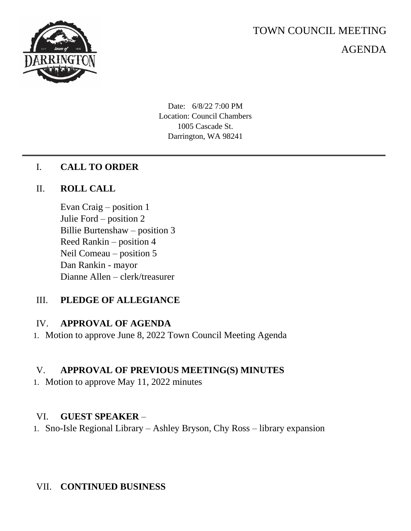

# TOWN COUNCIL MEETING

AGENDA

Date: 6/8/22 7:00 PM Location: Council Chambers 1005 Cascade St. Darrington, WA 98241

## I. **CALL TO ORDER**

## II. **ROLL CALL**

Evan Craig – position 1 Julie Ford – position 2 Billie Burtenshaw – position 3 Reed Rankin – position 4 Neil Comeau – position 5 Dan Rankin - mayor Dianne Allen – clerk/treasurer

# III. **PLEDGE OF ALLEGIANCE**

#### IV. **APPROVAL OF AGENDA**

1. Motion to approve June 8, 2022 Town Council Meeting Agenda

# V. **APPROVAL OF PREVIOUS MEETING(S) MINUTES**

1. Motion to approve May 11, 2022 minutes

#### VI. **GUEST SPEAKER** –

1. Sno-Isle Regional Library – Ashley Bryson, Chy Ross – library expansion

# VII. **CONTINUED BUSINESS**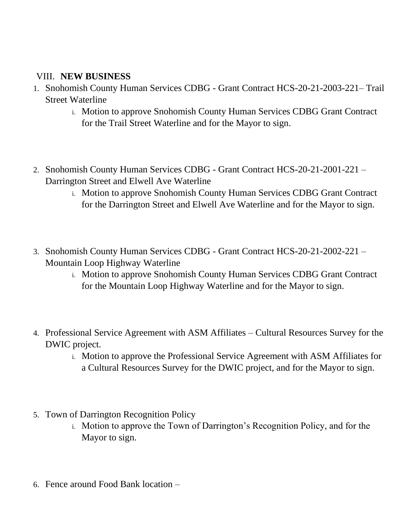## VIII. **NEW BUSINESS**

- 1. Snohomish County Human Services CDBG Grant Contract HCS-20-21-2003-221– Trail Street Waterline
	- i. Motion to approve Snohomish County Human Services CDBG Grant Contract for the Trail Street Waterline and for the Mayor to sign.
- 2. Snohomish County Human Services CDBG Grant Contract HCS-20-21-2001-221 Darrington Street and Elwell Ave Waterline
	- i. Motion to approve Snohomish County Human Services CDBG Grant Contract for the Darrington Street and Elwell Ave Waterline and for the Mayor to sign.
- 3. Snohomish County Human Services CDBG Grant Contract HCS-20-21-2002-221 Mountain Loop Highway Waterline
	- i. Motion to approve Snohomish County Human Services CDBG Grant Contract for the Mountain Loop Highway Waterline and for the Mayor to sign.
- 4. Professional Service Agreement with ASM Affiliates Cultural Resources Survey for the DWIC project.
	- i. Motion to approve the Professional Service Agreement with ASM Affiliates for a Cultural Resources Survey for the DWIC project, and for the Mayor to sign.
- 5. Town of Darrington Recognition Policy
	- i. Motion to approve the Town of Darrington's Recognition Policy, and for the Mayor to sign.
- 6. Fence around Food Bank location –